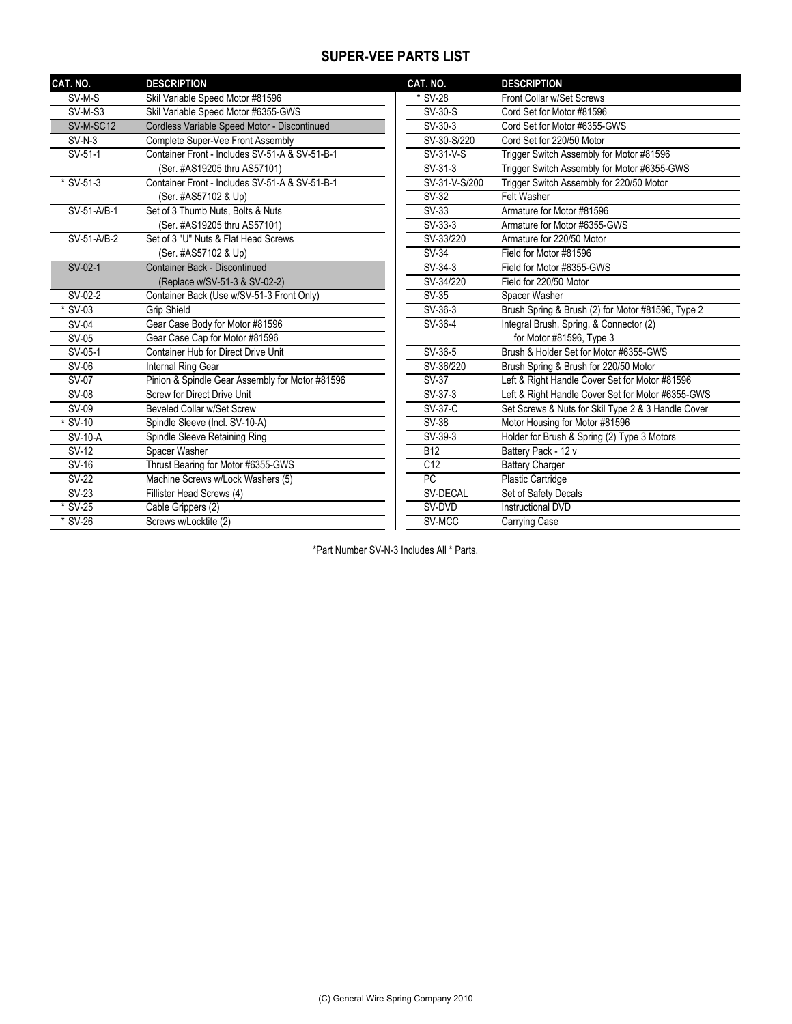## **SUPER-VEE PARTS LIST**

| CAT. NO.       | <b>DESCRIPTION</b>                              | CAT. NO.        | <b>DESCRIPTION</b>                                 |
|----------------|-------------------------------------------------|-----------------|----------------------------------------------------|
| SV-M-S         | Skil Variable Speed Motor #81596                | * SV-28         | Front Collar w/Set Screws                          |
| SV-M-S3        | Skil Variable Speed Motor #6355-GWS             | SV-30-S         | Cord Set for Motor #81596                          |
| SV-M-SC12      | Cordless Variable Speed Motor - Discontinued    | $SV-30-3$       | Cord Set for Motor #6355-GWS                       |
| $SV-N-3$       | Complete Super-Vee Front Assembly               | SV-30-S/220     | Cord Set for 220/50 Motor                          |
| SV-51-1        | Container Front - Includes SV-51-A & SV-51-B-1  | SV-31-V-S       | Trigger Switch Assembly for Motor #81596           |
|                | (Ser. #AS19205 thru AS57101)                    | $SV-31-3$       | Trigger Switch Assembly for Motor #6355-GWS        |
| $*$ SV-51-3    | Container Front - Includes SV-51-A & SV-51-B-1  | SV-31-V-S/200   | Trigger Switch Assembly for 220/50 Motor           |
|                | (Ser. #AS57102 & Up)                            | SV-32           | <b>Felt Washer</b>                                 |
| SV-51-A/B-1    | Set of 3 Thumb Nuts, Bolts & Nuts               | $SV-33$         | Armature for Motor #81596                          |
|                | (Ser. #AS19205 thru AS57101)                    | $SV-33-3$       | Armature for Motor #6355-GWS                       |
| $SV-51-A/B-2$  | Set of 3 "U" Nuts & Flat Head Screws            | SV-33/220       | Armature for 220/50 Motor                          |
|                | (Ser. #AS57102 & Up)                            | <b>SV-34</b>    | Field for Motor #81596                             |
| SV-02-1        | <b>Container Back - Discontinued</b>            | $SV-34-3$       | Field for Motor #6355-GWS                          |
|                | (Replace w/SV-51-3 & SV-02-2)                   | SV-34/220       | Field for 220/50 Motor                             |
| $SV-02-2$      | Container Back (Use w/SV-51-3 Front Only)       | SV-35           | Spacer Washer                                      |
| $*$ SV-03      | <b>Grip Shield</b>                              | SV-36-3         | Brush Spring & Brush (2) for Motor #81596, Type 2  |
| <b>SV-04</b>   | Gear Case Body for Motor #81596                 | SV-36-4         | Integral Brush, Spring, & Connector (2)            |
| <b>SV-05</b>   | Gear Case Cap for Motor #81596                  |                 | for Motor #81596, Type 3                           |
| SV-05-1        | Container Hub for Direct Drive Unit             | $SV-36-5$       | Brush & Holder Set for Motor #6355-GWS             |
| SV-06          | <b>Internal Ring Gear</b>                       | SV-36/220       | Brush Spring & Brush for 220/50 Motor              |
| <b>SV-07</b>   | Pinion & Spindle Gear Assembly for Motor #81596 | <b>SV-37</b>    | Left & Right Handle Cover Set for Motor #81596     |
| <b>SV-08</b>   | <b>Screw for Direct Drive Unit</b>              | $SV-37-3$       | Left & Right Handle Cover Set for Motor #6355-GWS  |
| SV-09          | <b>Beveled Collar w/Set Screw</b>               | SV-37-C         | Set Screws & Nuts for Skil Type 2 & 3 Handle Cover |
| $*$ SV-10      | Spindle Sleeve (Incl. SV-10-A)                  | $SV-38$         | Motor Housing for Motor #81596                     |
| <b>SV-10-A</b> | Spindle Sleeve Retaining Ring                   | $SV-39-3$       | Holder for Brush & Spring (2) Type 3 Motors        |
| $SV-12$        | Spacer Washer                                   | <b>B12</b>      | Battery Pack - 12 v                                |
| <b>SV-16</b>   | Thrust Bearing for Motor #6355-GWS              | C <sub>12</sub> | <b>Battery Charger</b>                             |
| $SV-22$        | Machine Screws w/Lock Washers (5)               | PC              | <b>Plastic Cartridge</b>                           |
| $SV-23$        | Fillister Head Screws (4)                       | SV-DECAL        | Set of Safety Decals                               |
| * SV-25        | Cable Grippers (2)                              | SV-DVD          | Instructional DVD                                  |
| $*$ SV-26      | Screws w/Locktite (2)                           | SV-MCC          | Carrying Case                                      |

\*Part Number SV-N-3 Includes All \* Parts.